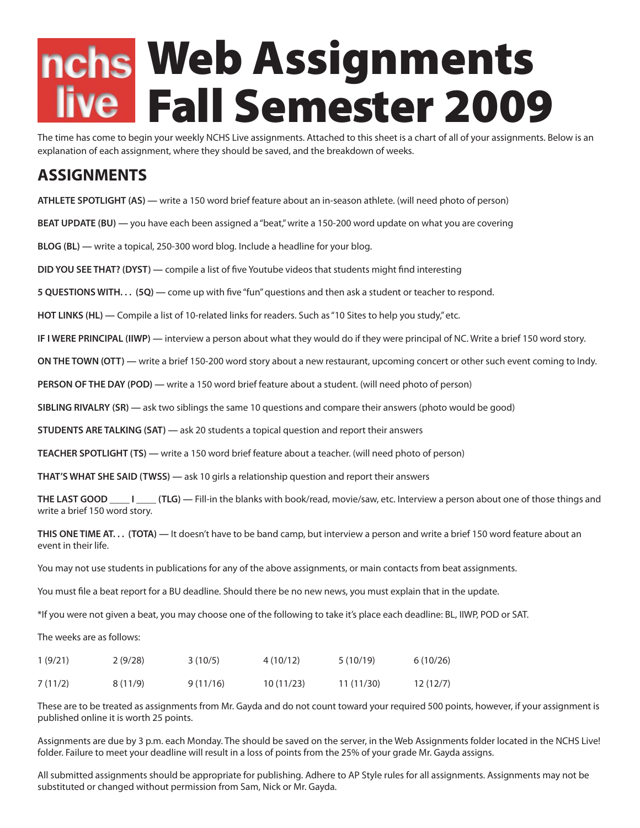## Web Assignments Fall Semester 2009

The time has come to begin your weekly NCHS Live assignments. Attached to this sheet is a chart of all of your assignments. Below is an explanation of each assignment, where they should be saved, and the breakdown of weeks.

## **ASSIGNMENTS**

**ATHLETE SPOTLIGHT (AS) —** write a 150 word brief feature about an in-season athlete. (will need photo of person) **BEAT UPDATE (BU) —** you have each been assigned a "beat," write a 150-200 word update on what you are covering **BLOG (BL) —** write a topical, 250-300 word blog. Include a headline for your blog. **DID YOU SEE THAT? (DYST) —** compile a list of five Youtube videos that students might find interesting **5 QUESTIONS WITH. . . (5Q) —** come up with five "fun" questions and then ask a student or teacher to respond. **HOT LINKS (HL) —** Compile a list of 10-related links for readers. Such as "10 Sites to help you study," etc. **IF I WERE PRINCIPAL (IIWP) —** interview a person about what they would do if they were principal of NC. Write a brief 150 word story. **ON THE TOWN (OTT) —** write a brief 150-200 word story about a new restaurant, upcoming concert or other such event coming to Indy. **PERSON OF THE DAY (POD) —** write a 150 word brief feature about a student. (will need photo of person) **SIBLING RIVALRY (SR) —** ask two siblings the same 10 questions and compare their answers (photo would be good) **STUDENTS ARE TALKING (SAT) —** ask 20 students a topical question and report their answers **TEACHER SPOTLIGHT (TS) —** write a 150 word brief feature about a teacher. (will need photo of person) **THAT'S WHAT SHE SAID (TWSS) —** ask 10 girls a relationship question and report their answers **THE LAST GOOD \_\_\_\_ I \_\_\_\_ (TLG) —** Fill-in the blanks with book/read, movie/saw, etc. Interview a person about one of those things and write a brief 150 word story. **THIS ONE TIME AT. . . (TOTA) —** It doesn't have to be band camp, but interview a person and write a brief 150 word feature about an event in their life. You may not use students in publications for any of the above assignments, or main contacts from beat assignments. You must file a beat report for a BU deadline. Should there be no new news, you must explain that in the update. \*If you were not given a beat, you may choose one of the following to take it's place each deadline: BL, IIWP, POD or SAT. The weeks are as follows:

| 1(9/21) | 2(9/28) | 3(10/5)  | 4 (10/12) | 5(10/19)  | 6(10/26) |
|---------|---------|----------|-----------|-----------|----------|
| 7(11/2) | 8(11/9) | 9(11/16) | 10(11/23) | 11(11/30) | 12(12/7) |

These are to be treated as assignments from Mr. Gayda and do not count toward your required 500 points, however, if your assignment is published online it is worth 25 points.

Assignments are due by 3 p.m. each Monday. The should be saved on the server, in the Web Assignments folder located in the NCHS Live! folder. Failure to meet your deadline will result in a loss of points from the 25% of your grade Mr. Gayda assigns.

All submitted assignments should be appropriate for publishing. Adhere to AP Style rules for all assignments. Assignments may not be substituted or changed without permission from Sam, Nick or Mr. Gayda.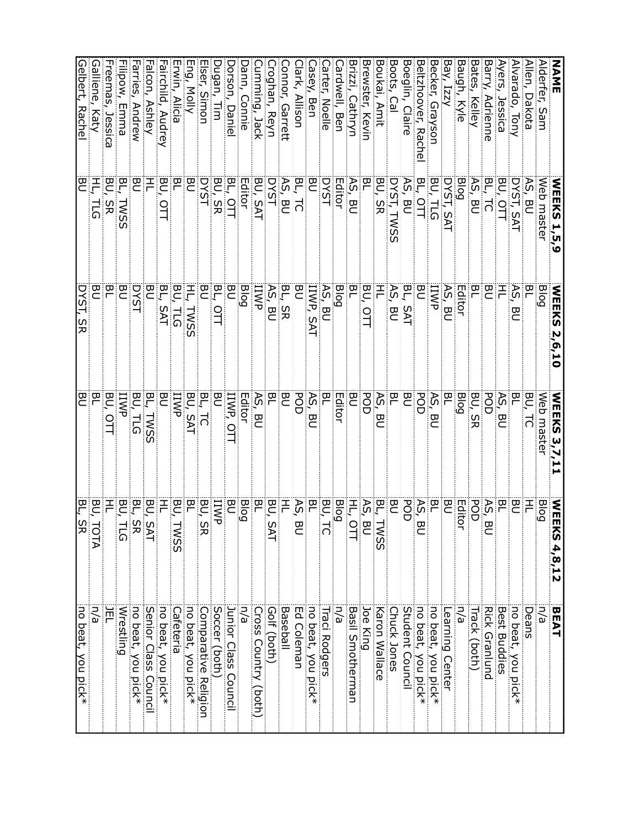| NAME               | <b>WEEKS 1,5,9</b>     | <b>NEEKS</b><br>2,6,10 | <b>WEEKS 3,7,11</b>     | <b>NEE</b><br><u>ଟି</u><br>4,8,12   | <b>BEAT</b>          |
|--------------------|------------------------|------------------------|-------------------------|-------------------------------------|----------------------|
| Alderfer, Sam      | Web master             | Blog                   | Web master              | <b>Blog</b>                         | n/a                  |
| Allen, Dakota      | 95,<br>)<br>이          | 익                      | BU,<br>ನ                | 픈                                   | Deans                |
| Alvarado, Tony     | DYST, SAT              | AS,<br>巴               | 익                       | 은                                   | no beat, you pick*   |
| Ayers,<br>Jessica  | BU, OTT                | 픈                      | AS,<br>巴                | 쯴                                   | <b>Best Buddies</b>  |
| Barry, Adrienne    | ВĻ<br>ನ                | БU                     | POD                     | $\widetilde{\kappa}$ ,<br>ω<br>⊂    | <b>Rick Granlund</b> |
| Bates,<br>Kelley   | AS,<br>БU              | 은                      | BU,<br>3R               | POD                                 | Track (both)         |
| Baugh,<br>Kyle     | Blog                   | Editor                 | Blog                    | Editol                              | n/a                  |
| Bay, Izzy          | DYST, SAT              | AS,<br>)<br>인          | 몬                       | )<br>이                              | Learning Center      |
| Secker, Graysor    |                        | <b>IIWP</b>            | $AS$ , $I$<br>Da        | 위                                   | no beat, you pick*   |
| Beltzhoover, Rache | BU, TLG<br>BL, OTT     | m                      | gg                      | $\frac{1}{2}$<br>ω<br>⊂             | no beat, you pick*   |
| Boeglin, Claire    |                        | BL, SAT                | 은                       | POD                                 | Student Council      |
| Boots, Cal         | AS, BU<br>DYST, TWSS   | AS, BU                 | 민                       | <b>PO</b>                           | Chuck Jones          |
| Boukai, Amit       | BU, SR                 |                        | AS,<br>Da               | BL, TWSS<br>AS, BU<br>HL, OTT       | Karon Wallace        |
| Brewster, Kevin    |                        | BU,                    | POD                     |                                     | Joe King             |
| Brizzi, Cathryn    | AS, BU                 | ЫL                     | 몬                       |                                     | Basil Smotherman     |
| ardwell, Ben       | Editor                 | <b>Blog</b>            | Editor                  | <b>Blog</b>                         | n/a                  |
| arter, Noelle      | <b>DYST</b>            | AS, BU                 | 민                       | BU, TC                              | <b>Fraci Rodgers</b> |
| asey,<br>Ben       | DQ                     | <b>IIWP, SAT</b>       | AS, BU                  | ٣                                   | no beat, you pick*   |
| lark, Allison      | BL, TC                 | ੲ                      | POD                     | AS,<br>$\overline{\mathbf{z}}$<br>⊂ | Ed Coleman           |
| onnor, Garrett     | AS, BU                 | BL, SR                 | 영                       | 곧                                   | Baseball             |
| roghan, Reyn       | <b>DYST</b>            | AS,<br>BU              | 몬                       | BJ,<br><b>SAT</b>                   | Golf (both)          |
| umming, Jack       | BU, SAT                | IIWP                   | AS,<br>巴                | 몬                                   | Cross Country (both) |
| ann, Connie        | Editor                 | <b>Blog</b>            | Editor                  | Bog                                 | n/a                  |
| Dorson,<br>Daniel  | BL,<br>으<br>니          | 은                      | IIWP,<br>$\overline{a}$ | 은                                   | Junior Class Council |
| Dugan, Tim         | BU, SR                 | ΒL,<br>$\frac{1}{1}$   | БU                      | <b>IIWP</b>                         | Soccer (both)        |
| Iser, Simon        | <b>DYST</b>            | <b>BU</b>              | BL,<br>$\overline{c}$   | BU, S<br>ᄍ                          | Comparative Religion |
| Eng, Molly         | <b>BU</b>              | H,<br><b>TWSS</b>      | BU, SAT                 | 인                                   | no beat, you pick*   |
| rwin, Alicia       | 몬                      | BU, TLG                | IIWP                    | BU,<br>TWSS                         | Cafeteria            |
| airchild, Audrey   | BU,<br>$\frac{1}{2}$   | BL,<br><b>SAT</b>      | <b>DO</b>               | 干                                   | no beat, you pick*   |
| alcon, Ashley      | 곰                      | ΣΟ                     | 머,<br><b>TWSS</b>       | BU, SAT                             | Senior Class Council |
| Farries, Andrew    | m<br>C                 | <b>DYST</b>            | BU,<br>h<br>51          | 먹,<br>sk<br>Tu                      | no beat, you pick*   |
| Filipow, Emma      | ВL<br>L<br><b>TVSS</b> | <b>DSU</b>             | <b>IIWP</b>             | BU,                                 | Wrestling            |
| reemas, Jessica    | 명)<br>SR               | ЪL                     | BU,<br>의<br>기           |                                     | 戸                    |
| Galliene,<br>Katy  | Ŧ,<br>ក<br>ស           | <b>DO</b>              | 민                       |                                     | n/a                  |
| Gelbert, Rachel    | $\bar{\mathbf{g}}$     | DYST, SR               | 명.                      | BU, TOTA<br><u>BL, SR</u>           | no beat, you pick*   |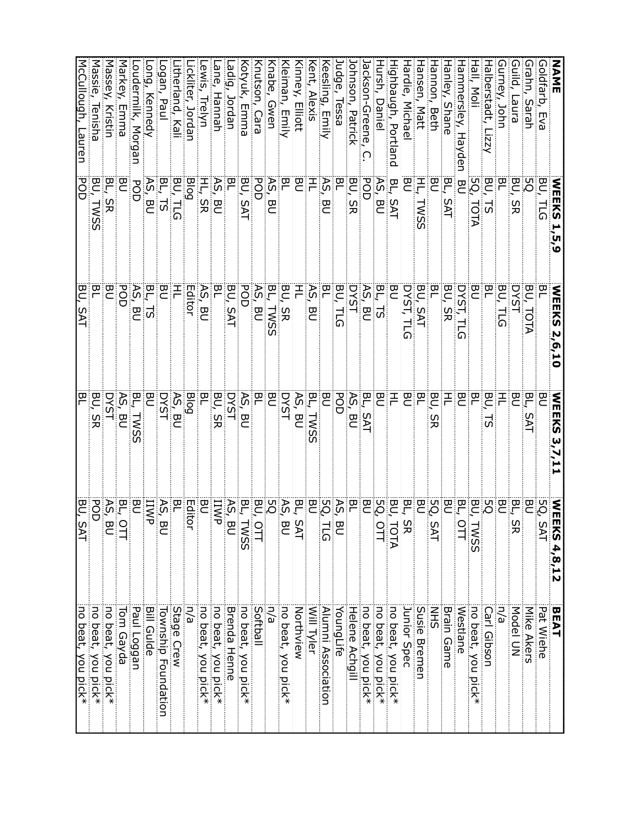| NANE                                     | <b>NEEKS</b><br>ับ<br>ง | <b>NEEKS</b><br>2,6,10                                             | <b>NEEKS</b>       | WEEI<br>$KS$ 4,8,12                                       | BEAT                |
|------------------------------------------|-------------------------|--------------------------------------------------------------------|--------------------|-----------------------------------------------------------|---------------------|
| Goldfarb,<br>Eva                         | BU,<br>$\overline{5}$   | 믿                                                                  | 은                  | 5Q,<br>$\Omega$<br>∑<br>⊣                                 | Pat Wiehe           |
| Grahn, Sarah                             | PS.                     | ВU,<br>TOTA                                                        | РĻ<br>5AT          | 은                                                         | Mike Akers          |
| ilid,<br>Pune <sub>l</sub>               | BU,<br>SR               | <b>DYST</b>                                                        | 몬                  | 임,<br>ഗ<br>ヌ                                              | Model UN            |
| uney, John                               | 몬                       | BU,<br>등                                                           | 곧                  | <u>명</u>                                                  | n/a                 |
| lalberstadt,<br>$\overline{z}$           | 80<br>5                 | БL                                                                 | 몬<br>5             | SQ                                                        | <b>Carl Gibson</b>  |
| tall, Moli                               | 5Q.<br><b>TOTA</b>      | 은                                                                  | 몬                  | BU,<br><b>TWSS</b>                                        | no beat, you pick*  |
| lammersley,<br>Hayder                    | 巴                       | <b>DYST, TLG</b>                                                   | 몬                  | $\circ$                                                   | Westlane            |
| lanley, Shane                            | 역,<br><b>SAT</b>        | BU,<br>SR                                                          | 곧                  |                                                           | <b>Brain Game</b>   |
| lannon, Beth                             | 巴                       |                                                                    | 몬<br>95            | 먹骂8 일<br>$\Omega$<br>্য                                   | <b>NHS</b>          |
| lansen, Matt                             | Ŧ,<br>TWSS              | BU, SAT<br>DYST, TLG                                               | 꼰                  |                                                           | Susie Bremen        |
| lardie, Michael                          | БU                      |                                                                    | 巴                  |                                                           | Junior Spec         |
| Highbaugh, Portland                      | BL, SAT                 | 모<br>이                                                             | 곧                  |                                                           | no beat, you pick*  |
| tursh, Daniel                            | AS, BU                  |                                                                    | 모                  | <b>BL, SR<br/>BU, TOTA</b><br><b>BU, TOTT</b><br>BU<br>BU | no beat, you pick*  |
| ackson-Greene,                           | <b>POD</b>              | $\frac{\mathsf{BL}}{\mathsf{AS}}, \frac{\mathsf{BU}}{\mathsf{BU}}$ | BL, SAT            |                                                           | no beat, you pick*  |
| ohnson, Patrick                          | BU, SR                  | <b>TSYC</b>                                                        | AS,<br><b>BU</b>   |                                                           | Helene Achgill      |
| udge, lessa                              | 임                       | BU, TLG                                                            | POD                |                                                           | YoungLife           |
| (eesling, Emily                          | AS,<br>)<br>이           | PL                                                                 | 몬                  | <b>BL<br/>AS, BU<br/>BU<br/>BU<br/>BU</b>                 | Alumni Association  |
| <b>Kent, Alexis</b>                      |                         | AS, BU                                                             | BL,<br><b>TVS:</b> |                                                           | Will Tyler          |
| <b>Kinney, Elliott</b>                   | 목몰                      | 두                                                                  | AS, BU<br>DYST     |                                                           | Northview           |
| <b>Kleiman, Emily</b>                    | БL                      | BU, SR                                                             |                    |                                                           | no beat, you pick*  |
| <b>Coven</b>                             | AS,<br>은                | 역<br>기<br>TWSS                                                     | 의                  |                                                           | n/a                 |
| Knutson, Cara                            | POD                     | AS, BU                                                             | 定                  | <b>BL, SAT<br/>AS, BU<br/>BO, OTT</b><br>$\frac{1}{2}$    | Softball            |
| <b><otyuk,< b=""><br/>Emma</otyuk,<></b> | BU,<br><b>SAT</b>       | POD                                                                | AS, BU             | <b>BL, TWSS</b><br>AS, BU                                 | no beat, you pick*  |
| -adig,<br>, Jordan                       | 문                       | BU, SAT                                                            | <b>DYST</b>        |                                                           | <b>Brenda Henne</b> |
| ane,<br>Hannah                           | ٩Ś,<br><b>BU</b>        | 은                                                                  | BU,<br><b>SR</b>   | <b>IIWP</b>                                               | no beat, you pick*  |
| ewis, Trelyn                             | HL, SR                  | AS,<br><b>DO</b>                                                   | БL                 | <b>PO</b>                                                 | no beat, you pick*  |
| ickliter, Jordan                         | <b>Blog</b>             | Editor                                                             | <b>Blog</b>        | Editor                                                    | Ρý                  |
| itherland, Kali                          | BU, TLG                 | 두                                                                  | AS, BU             | БL                                                        | Stage Crew          |
| ogan, Pau                                | BL<br>15                | <b>BU</b>                                                          | <b>DYST</b>        | AS, BI<br>⊂                                               | Township Foundation |
| ong, Kennedy                             | AS,<br>의                | BL,<br>5                                                           | 은                  | <b>IIWP</b>                                               | <b>Bill Gulde</b>   |
| oudermik, Morgan.                        | POD                     | AS,<br>명                                                           | 먹,<br><b>TWS:</b>  | <b>PO</b>                                                 | Paul Loggan         |
| Markey,<br>Emma                          | БU<br>С                 | POD                                                                | AS, BU             |                                                           | Fom Gayda           |
| Massey,<br>Kristin                       | BL,<br><b>SR</b>        | ΞQ                                                                 | <b>DYST</b>        | BL, O<br>AS, Bl<br>⊂                                      | no beat, you pick*  |
| Massie<br>Tenisha                        | BU,<br><b>TWSS</b>      | 모                                                                  | BU,<br>SR          | POD                                                       | no beat, you pick*  |
| McCullough, Lauren                       | <b>POD</b>              | BU,<br><b>SAT</b>                                                  | BL                 | BU, SAT                                                   | no beat, you pick*  |